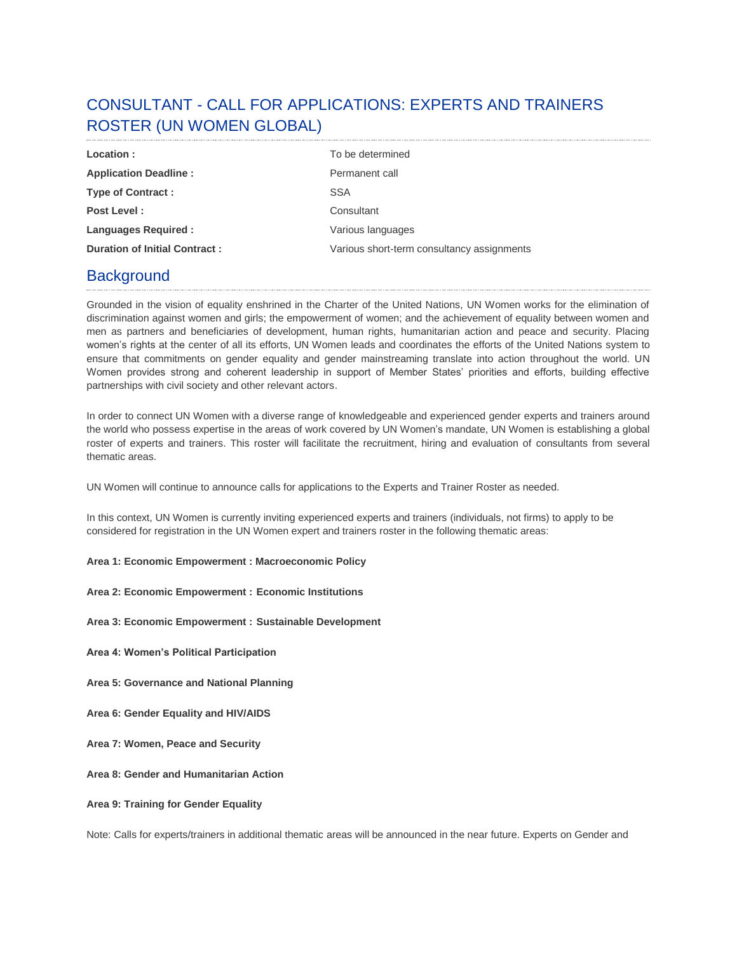# CONSULTANT - CALL FOR APPLICATIONS: EXPERTS AND TRAINERS ROSTER (UN WOMEN GLOBAL)

| Location:                            | To be determined                           |
|--------------------------------------|--------------------------------------------|
| <b>Application Deadline:</b>         | Permanent call                             |
| <b>Type of Contract:</b>             | <b>SSA</b>                                 |
| Post Level:                          | Consultant                                 |
| <b>Languages Required:</b>           | Various languages                          |
| <b>Duration of Initial Contract:</b> | Various short-term consultancy assignments |

## **Background**

Grounded in the vision of equality enshrined in the Charter of the United Nations, UN Women works for the elimination of discrimination against women and girls; the empowerment of women; and the achievement of equality between women and men as partners and beneficiaries of development, human rights, humanitarian action and peace and security. Placing women's rights at the center of all its efforts, UN Women leads and coordinates the efforts of the United Nations system to ensure that commitments on gender equality and gender mainstreaming translate into action throughout the world. UN Women provides strong and coherent leadership in support of Member States' priorities and efforts, building effective partnerships with civil society and other relevant actors.

In order to connect UN Women with a diverse range of knowledgeable and experienced gender experts and trainers around the world who possess expertise in the areas of work covered by UN Women's mandate, UN Women is establishing a global roster of experts and trainers. This roster will facilitate the recruitment, hiring and evaluation of consultants from several thematic areas.

UN Women will continue to announce calls for applications to the Experts and Trainer Roster as needed.

In this context, UN Women is currently inviting experienced experts and trainers (individuals, not firms) to apply to be considered for registration in the UN Women expert and trainers roster in the following thematic areas:

- **Area 1: Economic Empowerment : Macroeconomic Policy**
- **Area 2: Economic Empowerment : Economic Institutions**
- **Area 3: Economic Empowerment : Sustainable Development**
- **Area 4: Women's Political Participation**
- **Area 5: Governance and National Planning**
- **Area 6: Gender Equality and HIV/AIDS**
- **Area 7: Women, Peace and Security**
- **Area 8: Gender and Humanitarian Action**
- **Area 9: Training for Gender Equality**

Note: Calls for experts/trainers in additional thematic areas will be announced in the near future. Experts on Gender and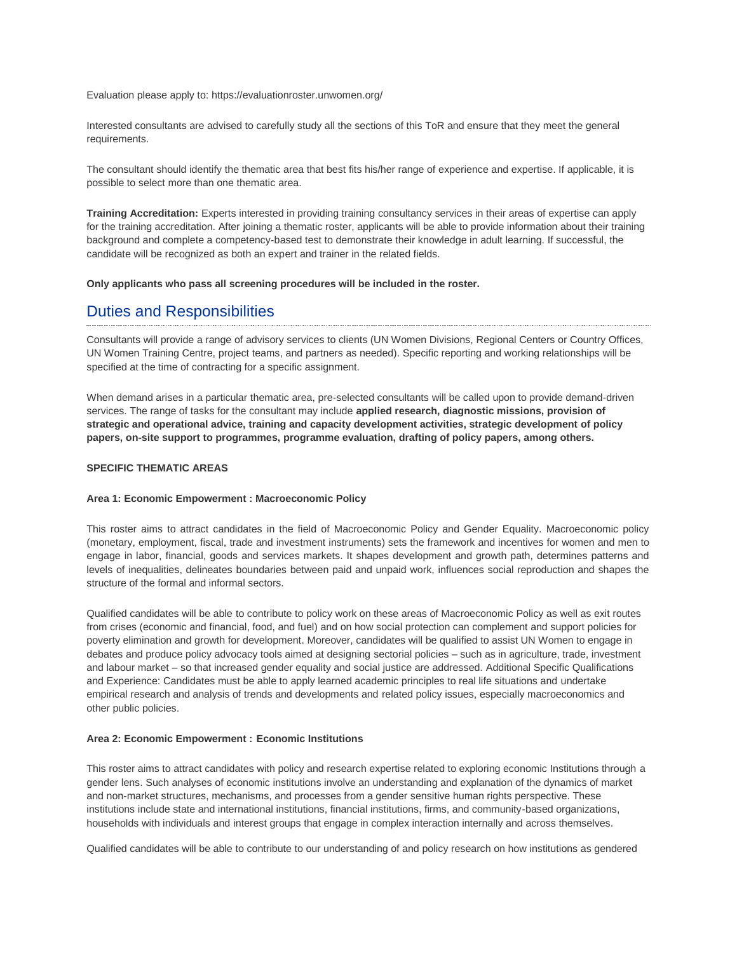Evaluation please apply to: https://evaluationroster.unwomen.org/

Interested consultants are advised to carefully study all the sections of this ToR and ensure that they meet the general requirements.

The consultant should identify the thematic area that best fits his/her range of experience and expertise. If applicable, it is possible to select more than one thematic area.

**Training Accreditation:** Experts interested in providing training consultancy services in their areas of expertise can apply for the training accreditation. After joining a thematic roster, applicants will be able to provide information about their training background and complete a competency-based test to demonstrate their knowledge in adult learning. If successful, the candidate will be recognized as both an expert and trainer in the related fields.

**Only applicants who pass all screening procedures will be included in the roster.**

## Duties and Responsibilities

Consultants will provide a range of advisory services to clients (UN Women Divisions, Regional Centers or Country Offices, UN Women Training Centre, project teams, and partners as needed). Specific reporting and working relationships will be specified at the time of contracting for a specific assignment.

When demand arises in a particular thematic area, pre-selected consultants will be called upon to provide demand-driven services. The range of tasks for the consultant may include **applied research, diagnostic missions, provision of strategic and operational advice, training and capacity development activities, strategic development of policy papers, on-site support to programmes, programme evaluation, drafting of policy papers, among others.**

### **SPECIFIC THEMATIC AREAS**

### **Area 1: Economic Empowerment : Macroeconomic Policy**

This roster aims to attract candidates in the field of Macroeconomic Policy and Gender Equality. Macroeconomic policy (monetary, employment, fiscal, trade and investment instruments) sets the framework and incentives for women and men to engage in labor, financial, goods and services markets. It shapes development and growth path, determines patterns and levels of inequalities, delineates boundaries between paid and unpaid work, influences social reproduction and shapes the structure of the formal and informal sectors.

Qualified candidates will be able to contribute to policy work on these areas of Macroeconomic Policy as well as exit routes from crises (economic and financial, food, and fuel) and on how social protection can complement and support policies for poverty elimination and growth for development. Moreover, candidates will be qualified to assist UN Women to engage in debates and produce policy advocacy tools aimed at designing sectorial policies – such as in agriculture, trade, investment and labour market – so that increased gender equality and social justice are addressed. Additional Specific Qualifications and Experience: Candidates must be able to apply learned academic principles to real life situations and undertake empirical research and analysis of trends and developments and related policy issues, especially macroeconomics and other public policies.

### **Area 2: Economic Empowerment : Economic Institutions**

This roster aims to attract candidates with policy and research expertise related to exploring economic Institutions through a gender lens. Such analyses of economic institutions involve an understanding and explanation of the dynamics of market and non-market structures, mechanisms, and processes from a gender sensitive human rights perspective. These institutions include state and international institutions, financial institutions, firms, and community-based organizations, households with individuals and interest groups that engage in complex interaction internally and across themselves.

Qualified candidates will be able to contribute to our understanding of and policy research on how institutions as gendered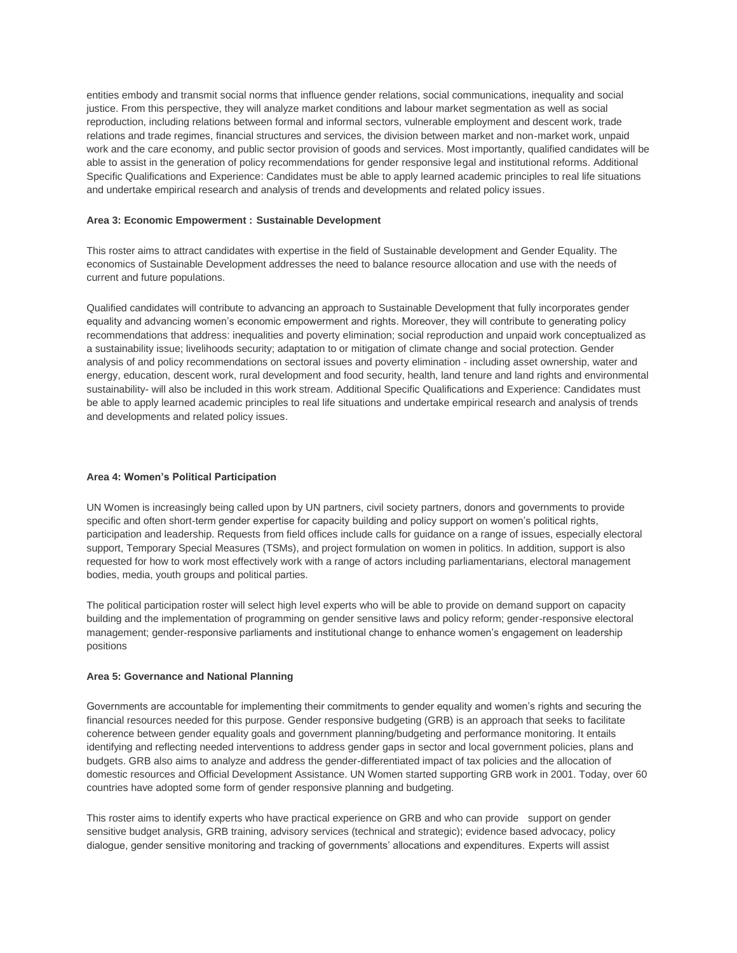entities embody and transmit social norms that influence gender relations, social communications, inequality and social justice. From this perspective, they will analyze market conditions and labour market segmentation as well as social reproduction, including relations between formal and informal sectors, vulnerable employment and descent work, trade relations and trade regimes, financial structures and services, the division between market and non-market work, unpaid work and the care economy, and public sector provision of goods and services. Most importantly, qualified candidates will be able to assist in the generation of policy recommendations for gender responsive legal and institutional reforms. Additional Specific Qualifications and Experience: Candidates must be able to apply learned academic principles to real life situations and undertake empirical research and analysis of trends and developments and related policy issues.

### **Area 3: Economic Empowerment : Sustainable Development**

This roster aims to attract candidates with expertise in the field of Sustainable development and Gender Equality. The economics of Sustainable Development addresses the need to balance resource allocation and use with the needs of current and future populations.

Qualified candidates will contribute to advancing an approach to Sustainable Development that fully incorporates gender equality and advancing women's economic empowerment and rights. Moreover, they will contribute to generating policy recommendations that address: inequalities and poverty elimination; social reproduction and unpaid work conceptualized as a sustainability issue; livelihoods security; adaptation to or mitigation of climate change and social protection. Gender analysis of and policy recommendations on sectoral issues and poverty elimination - including asset ownership, water and energy, education, descent work, rural development and food security, health, land tenure and land rights and environmental sustainability- will also be included in this work stream. Additional Specific Qualifications and Experience: Candidates must be able to apply learned academic principles to real life situations and undertake empirical research and analysis of trends and developments and related policy issues.

### **Area 4: Women's Political Participation**

UN Women is increasingly being called upon by UN partners, civil society partners, donors and governments to provide specific and often short-term gender expertise for capacity building and policy support on women's political rights, participation and leadership. Requests from field offices include calls for guidance on a range of issues, especially electoral support, Temporary Special Measures (TSMs), and project formulation on women in politics. In addition, support is also requested for how to work most effectively work with a range of actors including parliamentarians, electoral management bodies, media, youth groups and political parties.

The political participation roster will select high level experts who will be able to provide on demand support on capacity building and the implementation of programming on gender sensitive laws and policy reform; gender-responsive electoral management; gender-responsive parliaments and institutional change to enhance women's engagement on leadership positions

### **Area 5: Governance and National Planning**

Governments are accountable for implementing their commitments to gender equality and women's rights and securing the financial resources needed for this purpose. Gender responsive budgeting (GRB) is an approach that seeks to facilitate coherence between gender equality goals and government planning/budgeting and performance monitoring. It entails identifying and reflecting needed interventions to address gender gaps in sector and local government policies, plans and budgets. GRB also aims to analyze and address the gender-differentiated impact of tax policies and the allocation of domestic resources and Official Development Assistance. UN Women started supporting GRB work in 2001. Today, over 60 countries have adopted some form of gender responsive planning and budgeting.

This roster aims to identify experts who have practical experience on GRB and who can provide support on gender sensitive budget analysis, GRB training, advisory services (technical and strategic); evidence based advocacy, policy dialogue, gender sensitive monitoring and tracking of governments' allocations and expenditures. Experts will assist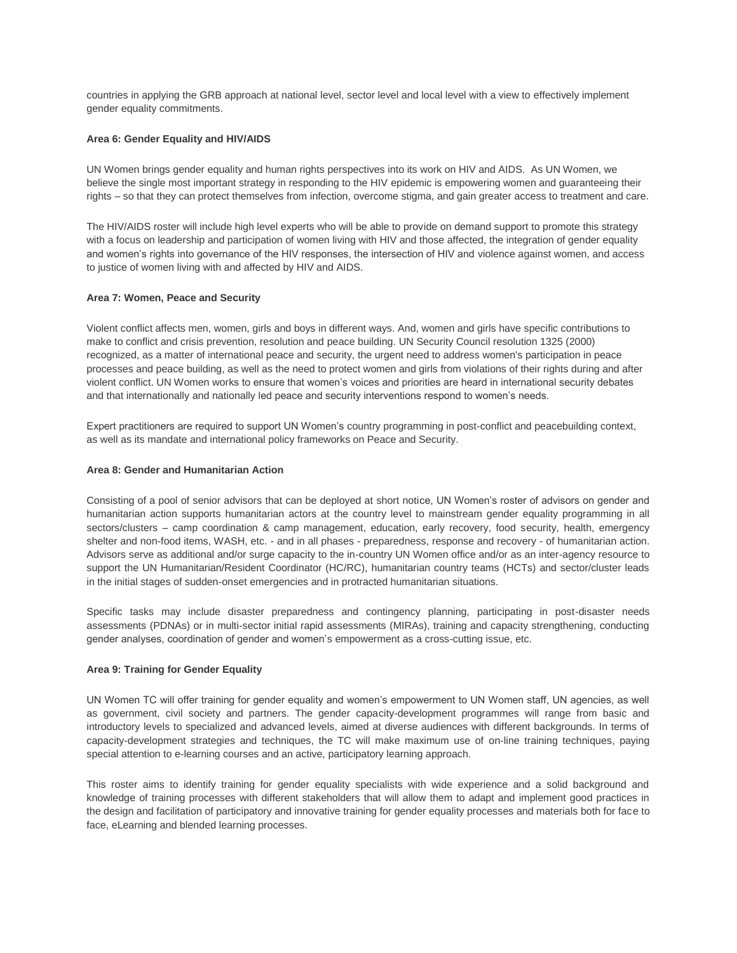countries in applying the GRB approach at national level, sector level and local level with a view to effectively implement gender equality commitments.

### **Area 6: Gender Equality and HIV/AIDS**

UN Women brings gender equality and human rights perspectives into its work on HIV and AIDS. As UN Women, we believe the single most important strategy in responding to the HIV epidemic is empowering women and guaranteeing their rights – so that they can protect themselves from infection, overcome stigma, and gain greater access to treatment and care.

The HIV/AIDS roster will include high level experts who will be able to provide on demand support to promote this strategy with a focus on leadership and participation of women living with HIV and those affected, the integration of gender equality and women's rights into governance of the HIV responses, the intersection of HIV and violence against women, and access to justice of women living with and affected by HIV and AIDS.

### **Area 7: Women, Peace and Security**

Violent conflict affects men, women, girls and boys in different ways. And, women and girls have specific contributions to make to conflict and crisis prevention, resolution and peace building. UN Security Council resolution 1325 (2000) recognized, as a matter of international peace and security, the urgent need to address women's participation in peace processes and peace building, as well as the need to protect women and girls from violations of their rights during and after violent conflict. UN Women works to ensure that women's voices and priorities are heard in international security debates and that internationally and nationally led peace and security interventions respond to women's needs.

Expert practitioners are required to support UN Women's country programming in post-conflict and peacebuilding context, as well as its mandate and international policy frameworks on Peace and Security.

### **Area 8: Gender and Humanitarian Action**

Consisting of a pool of senior advisors that can be deployed at short notice, UN Women's roster of advisors on gender and humanitarian action supports humanitarian actors at the country level to mainstream gender equality programming in all sectors/clusters – camp coordination & camp management, education, early recovery, food security, health, emergency shelter and non-food items, WASH, etc. - and in all phases - preparedness, response and recovery - of humanitarian action. Advisors serve as additional and/or surge capacity to the in-country UN Women office and/or as an inter-agency resource to support the UN Humanitarian/Resident Coordinator (HC/RC), humanitarian country teams (HCTs) and sector/cluster leads in the initial stages of sudden-onset emergencies and in protracted humanitarian situations.

Specific tasks may include disaster preparedness and contingency planning, participating in post-disaster needs assessments (PDNAs) or in multi-sector initial rapid assessments (MIRAs), training and capacity strengthening, conducting gender analyses, coordination of gender and women's empowerment as a cross-cutting issue, etc.

### **Area 9: Training for Gender Equality**

UN Women TC will offer training for gender equality and women's empowerment to UN Women staff, UN agencies, as well as government, civil society and partners. The gender capacity-development programmes will range from basic and introductory levels to specialized and advanced levels, aimed at diverse audiences with different backgrounds. In terms of capacity-development strategies and techniques, the TC will make maximum use of on-line training techniques, paying special attention to e-learning courses and an active, participatory learning approach.

This roster aims to identify training for gender equality specialists with wide experience and a solid background and knowledge of training processes with different stakeholders that will allow them to adapt and implement good practices in the design and facilitation of participatory and innovative training for gender equality processes and materials both for face to face, eLearning and blended learning processes.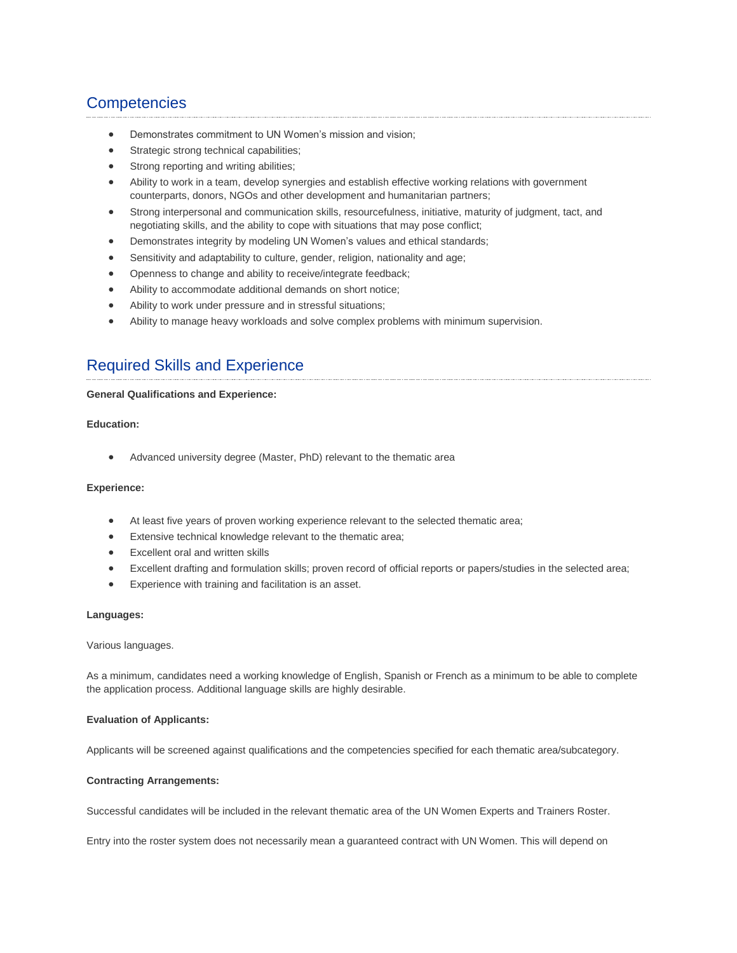## **Competencies**

- Demonstrates commitment to UN Women's mission and vision;
- **•** Strategic strong technical capabilities;
- Strong reporting and writing abilities;
- Ability to work in a team, develop synergies and establish effective working relations with government counterparts, donors, NGOs and other development and humanitarian partners;
- Strong interpersonal and communication skills, resourcefulness, initiative, maturity of judgment, tact, and negotiating skills, and the ability to cope with situations that may pose conflict;
- Demonstrates integrity by modeling UN Women's values and ethical standards;
- Sensitivity and adaptability to culture, gender, religion, nationality and age;
- Openness to change and ability to receive/integrate feedback;
- Ability to accommodate additional demands on short notice;
- Ability to work under pressure and in stressful situations;
- Ability to manage heavy workloads and solve complex problems with minimum supervision.

## Required Skills and Experience

### **General Qualifications and Experience:**

### **Education:**

Advanced university degree (Master, PhD) relevant to the thematic area

### **Experience:**

- At least five years of proven working experience relevant to the selected thematic area;
- Extensive technical knowledge relevant to the thematic area;
- Excellent oral and written skills
- Excellent drafting and formulation skills; proven record of official reports or papers/studies in the selected area;
- Experience with training and facilitation is an asset.

### **Languages:**

Various languages.

As a minimum, candidates need a working knowledge of English, Spanish or French as a minimum to be able to complete the application process. Additional language skills are highly desirable.

### **Evaluation of Applicants:**

Applicants will be screened against qualifications and the competencies specified for each thematic area/subcategory.

### **Contracting Arrangements:**

Successful candidates will be included in the relevant thematic area of the UN Women Experts and Trainers Roster.

Entry into the roster system does not necessarily mean a guaranteed contract with UN Women. This will depend on